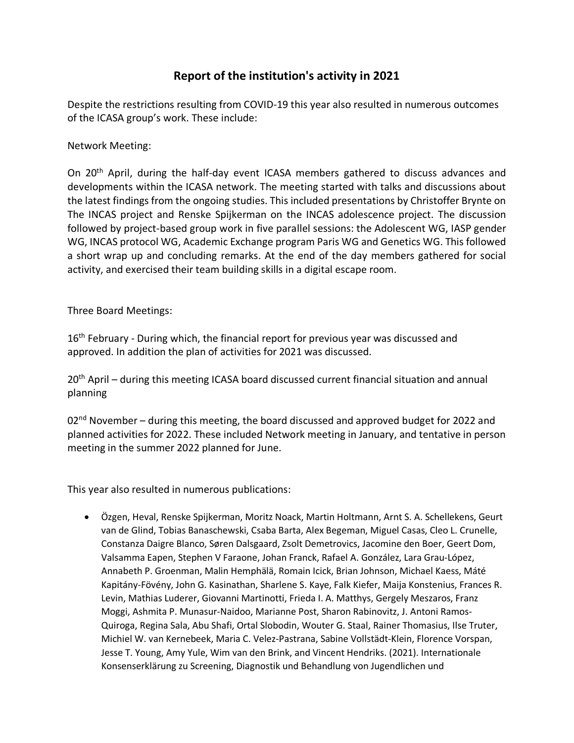## **Report of the institution's activity in 2021**

Despite the restrictions resulting from COVID-19 this year also resulted in numerous outcomes of the ICASA group's work. These include:

Network Meeting:

On 20th April, during the half-day event ICASA members gathered to discuss advances and developments within the ICASA network. The meeting started with talks and discussions about the latest findings from the ongoing studies. This included presentations by Christoffer Brynte on The INCAS project and Renske Spijkerman on the INCAS adolescence project. The discussion followed by project-based group work in five parallel sessions: the Adolescent WG, IASP gender WG, INCAS protocol WG, Academic Exchange program Paris WG and Genetics WG. This followed a short wrap up and concluding remarks. At the end of the day members gathered for social activity, and exercised their team building skills in a digital escape room.

Three Board Meetings:

16<sup>th</sup> February - During which, the financial report for previous year was discussed and approved. In addition the plan of activities for 2021 was discussed.

20th April – during this meeting ICASA board discussed current financial situation and annual planning

 $02<sup>nd</sup>$  November – during this meeting, the board discussed and approved budget for 2022 and planned activities for 2022. These included Network meeting in January, and tentative in person meeting in the summer 2022 planned for June.

This year also resulted in numerous publications:

• Özgen, Heval, Renske Spijkerman, Moritz Noack, Martin Holtmann, Arnt S. A. Schellekens, Geurt van de Glind, Tobias Banaschewski, Csaba Barta, Alex Begeman, Miguel Casas, Cleo L. Crunelle, Constanza Daigre Blanco, Søren Dalsgaard, Zsolt Demetrovics, Jacomine den Boer, Geert Dom, Valsamma Eapen, Stephen V Faraone, Johan Franck, Rafael A. González, Lara Grau-López, Annabeth P. Groenman, Malin Hemphälä, Romain Icick, Brian Johnson, Michael Kaess, Máté Kapitány-Fövény, John G. Kasinathan, Sharlene S. Kaye, Falk Kiefer, Maija Konstenius, Frances R. Levin, Mathias Luderer, Giovanni Martinotti, Frieda I. A. Matthys, Gergely Meszaros, Franz Moggi, Ashmita P. Munasur-Naidoo, Marianne Post, Sharon Rabinovitz, J. Antoni Ramos-Quiroga, Regina Sala, Abu Shafi, Ortal Slobodin, Wouter G. Staal, Rainer Thomasius, Ilse Truter, Michiel W. van Kernebeek, Maria C. Velez-Pastrana, Sabine Vollstädt-Klein, Florence Vorspan, Jesse T. Young, Amy Yule, Wim van den Brink, and Vincent Hendriks. (2021). Internationale Konsenserklärung zu Screening, Diagnostik und Behandlung von Jugendlichen und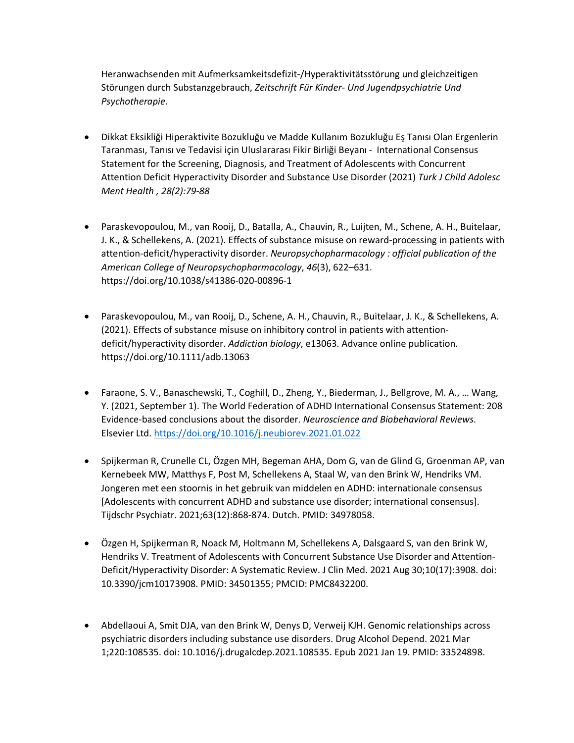Heranwachsenden mit Aufmerksamkeitsdefizit-/Hyperaktivitätsstörung und gleichzeitigen Störungen durch Substanzgebrauch, *Zeitschrift Für Kinder- Und Jugendpsychiatrie Und Psychotherapie*.

- Dikkat Eksikliği Hiperaktivite Bozukluğu ve Madde Kullanım Bozukluğu Eş Tanısı Olan Ergenlerin Taranması, Tanısı ve Tedavisi için Uluslararası Fikir Birliği Beyanı - International Consensus Statement for the Screening, Diagnosis, and Treatment of Adolescents with Concurrent Attention Deficit Hyperactivity Disorder and Substance Use Disorder (2021) *Turk J Child Adolesc Ment Health , 28(2):79-88*
- Paraskevopoulou, M., van Rooij, D., Batalla, A., Chauvin, R., Luijten, M., Schene, A. H., Buitelaar, J. K., & Schellekens, A. (2021). Effects of substance misuse on reward-processing in patients with attention-deficit/hyperactivity disorder. *Neuropsychopharmacology : official publication of the American College of Neuropsychopharmacology*, *46*(3), 622–631. https://doi.org/10.1038/s41386-020-00896-1
- Paraskevopoulou, M., van Rooij, D., Schene, A. H., Chauvin, R., Buitelaar, J. K., & Schellekens, A. (2021). Effects of substance misuse on inhibitory control in patients with attentiondeficit/hyperactivity disorder. *Addiction biology*, e13063. Advance online publication. https://doi.org/10.1111/adb.13063
- Faraone, S. V., Banaschewski, T., Coghill, D., Zheng, Y., Biederman, J., Bellgrove, M. A., … Wang, Y. (2021, September 1). The World Federation of ADHD International Consensus Statement: 208 Evidence-based conclusions about the disorder. *Neuroscience and Biobehavioral Reviews*. Elsevier Ltd. https://doi.org/10.1016/j.neubiorev.2021.01.022
- Spijkerman R, Crunelle CL, Özgen MH, Begeman AHA, Dom G, van de Glind G, Groenman AP, van Kernebeek MW, Matthys F, Post M, Schellekens A, Staal W, van den Brink W, Hendriks VM. Jongeren met een stoornis in het gebruik van middelen en ADHD: internationale consensus [Adolescents with concurrent ADHD and substance use disorder; international consensus]. Tijdschr Psychiatr. 2021;63(12):868-874. Dutch. PMID: 34978058.
- Özgen H, Spijkerman R, Noack M, Holtmann M, Schellekens A, Dalsgaard S, van den Brink W, Hendriks V. Treatment of Adolescents with Concurrent Substance Use Disorder and Attention-Deficit/Hyperactivity Disorder: A Systematic Review. J Clin Med. 2021 Aug 30;10(17):3908. doi: 10.3390/jcm10173908. PMID: 34501355; PMCID: PMC8432200.
- Abdellaoui A, Smit DJA, van den Brink W, Denys D, Verweij KJH. Genomic relationships across psychiatric disorders including substance use disorders. Drug Alcohol Depend. 2021 Mar 1;220:108535. doi: 10.1016/j.drugalcdep.2021.108535. Epub 2021 Jan 19. PMID: 33524898.